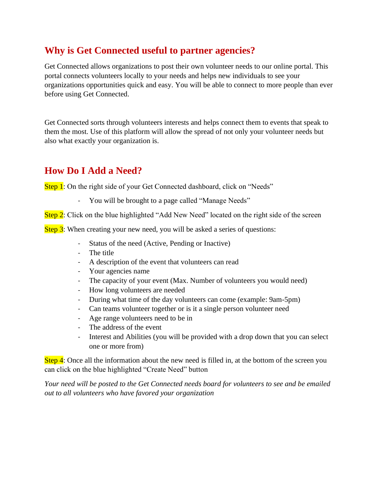## **Why is Get Connected useful to partner agencies?**

Get Connected allows organizations to post their own volunteer needs to our online portal. This portal connects volunteers locally to your needs and helps new individuals to see your organizations opportunities quick and easy. You will be able to connect to more people than ever before using Get Connected.

Get Connected sorts through volunteers interests and helps connect them to events that speak to them the most. Use of this platform will allow the spread of not only your volunteer needs but also what exactly your organization is.

## **How Do I Add a Need?**

Step 1: On the right side of your Get Connected dashboard, click on "Needs"

- You will be brought to a page called "Manage Needs"

Step 2: Click on the blue highlighted "Add New Need" located on the right side of the screen

Step 3: When creating your new need, you will be asked a series of questions:

- Status of the need (Active, Pending or Inactive)
- The title
- A description of the event that volunteers can read
- Your agencies name
- The capacity of your event (Max. Number of volunteers you would need)
- How long volunteers are needed
- During what time of the day volunteers can come (example: 9am-5pm)
- Can teams volunteer together or is it a single person volunteer need
- Age range volunteers need to be in
- The address of the event
- Interest and Abilities (you will be provided with a drop down that you can select one or more from)

Step 4: Once all the information about the new need is filled in, at the bottom of the screen you can click on the blue highlighted "Create Need" button

*Your need will be posted to the Get Connected needs board for volunteers to see and be emailed out to all volunteers who have favored your organization*